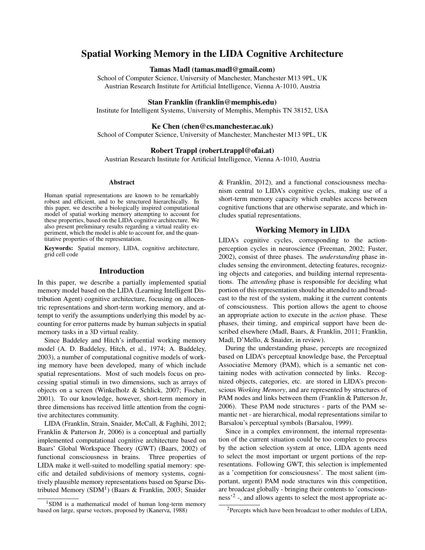# Spatial Working Memory in the LIDA Cognitive Architecture

#### Tamas Madl (tamas.madl@gmail.com)

School of Computer Science, University of Manchester, Manchester M13 9PL, UK Austrian Research Institute for Artificial Intelligence, Vienna A-1010, Austria

#### Stan Franklin (franklin@memphis.edu)

Institute for Intelligent Systems, University of Memphis, Memphis TN 38152, USA

#### Ke Chen (chen@cs.manchester.ac.uk)

School of Computer Science, University of Manchester, Manchester M13 9PL, UK

### Robert Trappl (robert.trappl@ofai.at)

Austrian Research Institute for Artificial Intelligence, Vienna A-1010, Austria

#### Abstract

Human spatial representations are known to be remarkably robust and efficient, and to be structured hierarchically. In this paper, we describe a biologically inspired computational model of spatial working memory attempting to account for these properties, based on the LIDA cognitive architecture. We also present preliminary results regarding a virtual reality experiment, which the model is able to account for, and the quantitative properties of the representation.

Keywords: Spatial memory, LIDA, cognitive architecture, grid cell code

# Introduction

In this paper, we describe a partially implemented spatial memory model based on the LIDA (Learning Intelligent Distribution Agent) cognitive architecture, focusing on allocentric representations and short-term working memory, and attempt to verify the assumptions underlying this model by accounting for error patterns made by human subjects in spatial memory tasks in a 3D virtual reality.

Since Baddeley and Hitch's influential working memory model (A. D. Baddeley, Hitch, et al., 1974; A. Baddeley, 2003), a number of computational cognitive models of working memory have been developed, many of which include spatial representations. Most of such models focus on processing spatial stimuli in two dimensions, such as arrays of objects on a screen (Winkelholz & Schlick, 2007; Fischer, 2001). To our knowledge, however, short-term memory in three dimensions has received little attention from the cognitive architectures community.

LIDA (Franklin, Strain, Snaider, McCall, & Faghihi, 2012; Franklin & Patterson Jr, 2006) is a conceptual and partially implemented computational cognitive architecture based on Baars' Global Workspace Theory (GWT) (Baars, 2002) of functional consciousness in brains. Three properties of LIDA make it well-suited to modelling spatial memory: specific and detailed subdivisions of memory systems, cognitively plausible memory representations based on Sparse Distributed Memory (SDM<sup>1</sup>) (Baars & Franklin, 2003; Snaider & Franklin, 2012), and a functional consciousness mechanism central to LIDA's cognitive cycles, making use of a short-term memory capacity which enables access between cognitive functions that are otherwise separate, and which includes spatial representations.

### Working Memory in LIDA

LIDA's cognitive cycles, corresponding to the actionperception cycles in neuroscience (Freeman, 2002; Fuster, 2002), consist of three phases. The *understanding* phase includes sensing the environment, detecting features, recognizing objects and categories, and building internal representations. The *attending* phase is responsible for deciding what portion of this representation should be attended to and broadcast to the rest of the system, making it the current contents of consciousness. This portion allows the agent to choose an appropriate action to execute in the *action* phase. These phases, their timing, and empirical support have been described elsewhere (Madl, Baars, & Franklin, 2011; Franklin, Madl, D'Mello, & Snaider, in review).

During the understanding phase, percepts are recognized based on LIDA's perceptual knowledge base, the Perceptual Associative Memory (PAM), which is a semantic net containing nodes with activation connected by links. Recognized objects, categories, etc. are stored in LIDA's preconscious *Working Memory*, and are represented by structures of PAM nodes and links between them (Franklin & Patterson Jr, 2006). These PAM node structures - parts of the PAM semantic net - are hierarchical, modal representations similar to Barsalou's perceptual symbols (Barsalou, 1999).

Since in a complex environment, the internal representation of the current situation could be too complex to process by the action selection system at once, LIDA agents need to select the most important or urgent portions of the representations. Following GWT, this selection is implemented as a 'competition for consciousness'. The most salient (important, urgent) PAM node structures win this competition, are broadcast globally - bringing their contents to 'consciousness<sup>2</sup>, and allows agents to select the most appropriate ac-

 $1$ SDM is a mathematical model of human long-term memory based on large, sparse vectors, proposed by (Kanerva, 1988)

<sup>&</sup>lt;sup>2</sup>Percepts which have been broadcast to other modules of LIDA,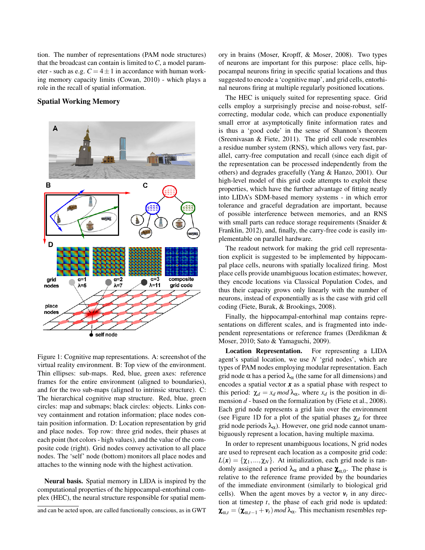tion. The number of representations (PAM node structures) that the broadcast can contain is limited to  $C$ , a model parameter - such as e.g.  $C = 4 \pm 1$  in accordance with human working memory capacity limits (Cowan, 2010) - which plays a role in the recall of spatial information.

# Spatial Working Memory



Figure 1: Cognitive map representations. A: screenshot of the virtual reality environment. B: Top view of the environment. Thin ellipses: sub-maps. Red, blue, green axes: reference frames for the entire environment (aligned to boundaries), and for the two sub-maps (aligned to intrinsic structure). C: The hierarchical cognitive map structure. Red, blue, green circles: map and submaps; black circles: objects. Links convey containment and rotation information; place nodes contain position information. D: Location representation by grid and place nodes. Top row: three grid nodes, their phases at each point (hot colors - high values), and the value of the composite code (right). Grid nodes convey activation to all place nodes. The 'self' node (bottom) monitors all place nodes and attaches to the winning node with the highest activation.

Neural basis. Spatial memory in LIDA is inspired by the computational properties of the hippocampal-entorhinal complex (HEC), the neural structure responsible for spatial mem-

and can be acted upon, are called functionally conscious, as in GWT

ory in brains (Moser, Kropff, & Moser, 2008). Two types of neurons are important for this purpose: place cells, hippocampal neurons firing in specific spatial locations and thus suggested to encode a 'cognitive map', and grid cells, entorhinal neurons firing at multiple regularly positioned locations.

The HEC is uniquely suited for representing space. Grid cells employ a surprisingly precise and noise-robust, selfcorrecting, modular code, which can produce exponentially small error at asymptotically finite information rates and is thus a 'good code' in the sense of Shannon's theorem (Sreenivasan & Fiete, 2011). The grid cell code resembles a residue number system (RNS), which allows very fast, parallel, carry-free computation and recall (since each digit of the representation can be processed independently from the others) and degrades gracefully (Yang & Hanzo, 2001). Our high-level model of this grid code attempts to exploit these properties, which have the further advantage of fitting neatly into LIDA's SDM-based memory systems - in which error tolerance and graceful degradation are important, because of possible interference between memories, and an RNS with small parts can reduce storage requirements (Snaider & Franklin, 2012), and, finally, the carry-free code is easily implementable on parallel hardware.

The readout network for making the grid cell representation explicit is suggested to be implemented by hippocampal place cells, neurons with spatially localized firing. Most place cells provide unambiguous location estimates; however, they encode locations via Classical Population Codes, and thus their capacity grows only linearly with the number of neurons, instead of exponentially as is the case with grid cell coding (Fiete, Burak, & Brookings, 2008).

Finally, the hippocampal-entorhinal map contains representations on different scales, and is fragmented into independent representations or reference frames (Derdikman & Moser, 2010; Sato & Yamaguchi, 2009).

Location Representation. For representing a LIDA agent's spatial location, we use *N* 'grid nodes', which are types of PAM nodes employing modular representation. Each grid node  $\alpha$  has a period  $\lambda_{\alpha}$  (the same for all dimensions) and encodes a spatial vector *x* as a spatial phase with respect to this period:  $\chi_d = x_d \mod \lambda_\alpha$ , where  $x_d$  is the position in dimension *d* - based on the formalization by (Fiete et al., 2008). Each grid node represents a grid lain over the environment (see Figure 1D for a plot of the spatial phases  $\chi_d$  for three grid node periods  $\lambda_{\alpha}$ ). However, one grid node cannot unambiguously represent a location, having multiple maxima.

In order to represent unambiguous locations, N grid nodes are used to represent each location as a composite grid code:  $L(\mathbf{x}) = {\chi_1, ..., \chi_N}$ . At initialization, each grid node is randomly assigned a period  $\lambda_{\alpha}$  and a phase  $\chi_{\alpha,0}$ . The phase is relative to the reference frame provided by the boundaries of the immediate environment (similarly to biological grid cells). When the agent moves by a vector  $v_t$  in any direction at timestep *t*, the phase of each grid node is updated:  $\boldsymbol{\chi}_{\alpha,t} = (\boldsymbol{\chi}_{\alpha,t-1} + \boldsymbol{v}_t) \text{ mod } \lambda_\alpha$ . This mechanism resembles rep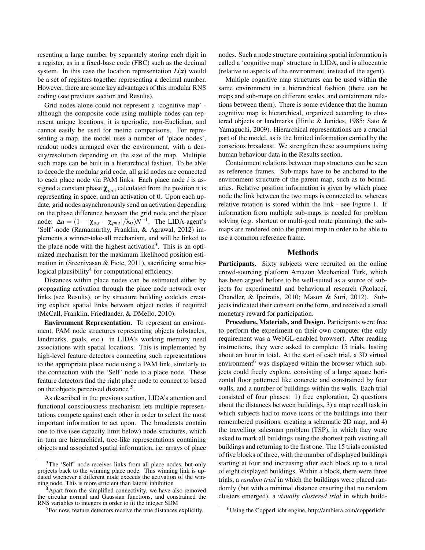resenting a large number by separately storing each digit in a register, as in a fixed-base code (FBC) such as the decimal system. In this case the location representation  $L(\mathbf{x})$  would be a set of registers together representing a decimal number. However, there are some key advantages of this modular RNS coding (see previous section and Results).

Grid nodes alone could not represent a 'cognitive map' although the composite code using multiple nodes can represent unique locations, it is aperiodic, non-Euclidian, and cannot easily be used for metric comparisons. For representing a map, the model uses a number of 'place nodes', readout nodes arranged over the environment, with a density/resolution depending on the size of the map. Multiple such maps can be built in a hierarchical fashion. To be able to decode the modular grid code, all grid nodes are connected to each place node via PAM links. Each place node *i* is assigned a constant phase  $\boldsymbol{\chi}_{pn,i}$  calculated from the position it is representing in space, and an activation of 0. Upon each update, grid nodes asynchronously send an activation depending on the phase difference between the grid node and the place node:  $\Delta a = (1 - |\chi_{\alpha,t} - \chi_{pn,t}| / \lambda_{\alpha}) N^{-1}$ . The LIDA-agent's 'Self'-node (Ramamurthy, Franklin, & Agrawal, 2012) implements a winner-take-all mechanism, and will be linked to the place node with the highest activation<sup>3</sup>. This is an optimized mechanism for the maximum likelihood position estimation in (Sreenivasan & Fiete, 2011), sacrificing some biological plausibility<sup>4</sup> for computational efficiency.

Distances within place nodes can be estimated either by propagating activation through the place node network over links (see Results), or by structure building codelets creating explicit spatial links between object nodes if required (McCall, Franklin, Friedlander, & DMello, 2010).

Environment Representation. To represent an environment, PAM node structures representing objects (obstacles, landmarks, goals, etc.) in LIDA's working memory need associations with spatial locations. This is implemented by high-level feature detectors connecting such representations to the appropriate place node using a PAM link, similarly to the connection with the 'Self' node to a place node. These feature detectors find the right place node to connect to based on the objects perceived distance <sup>5</sup>.

As described in the previous section, LIDA's attention and functional consciousness mechanism lets multiple representations compete against each other in order to select the most important information to act upon. The broadcasts contain one to five (see capacity limit below) node structures, which in turn are hierarchical, tree-like representations containing objects and associated spatial information, i.e. arrays of place nodes. Such a node structure containing spatial information is called a 'cognitive map' structure in LIDA, and is allocentric (relative to aspects of the environment, instead of the agent).

Multiple cognitive map structures can be used within the same environment in a hierarchical fashion (there can be maps and sub-maps on different scales, and containment relations between them). There is some evidence that the human cognitive map is hierarchical, organized according to clustered objects or landmarks (Hirtle & Jonides, 1985; Sato & Yamaguchi, 2009). Hierarchical representations are a crucial part of the model, as is the limited information carried by the conscious broadcast. We strengthen these assumptions using human behaviour data in the Results section.

Containment relations between map structures can be seen as reference frames. Sub-maps have to be anchored to the environment structure of the parent map, such as to boundaries. Relative position information is given by which place node the link between the two maps is connected to, whereas relative rotation is stored within the link - see Figure 1. If information from multiple sub-maps is needed for problem solving (e.g. shortcut or multi-goal route planning), the submaps are rendered onto the parent map in order to be able to use a common reference frame.

### Methods

Participants. Sixty subjects were recruited on the online crowd-sourcing platform Amazon Mechanical Turk, which has been argued before to be well-suited as a source of subjects for experimental and behavioural research (Paolacci, Chandler, & Ipeirotis, 2010; Mason & Suri, 2012). Subjects indicated their consent on the form, and received a small monetary reward for participation.

Procedure, Materials, and Design. Participants were free to perform the experiment on their own computer (the only requirement was a WebGL-enabled browser). After reading instructions, they were asked to complete 15 trials, lasting about an hour in total. At the start of each trial, a 3D virtual environment<sup>6</sup> was displayed within the browser which subjects could freely explore, consisting of a large square horizontal floor patterned like concrete and constrained by four walls, and a number of buildings within the walls. Each trial consisted of four phases: 1) free exploration, 2) questions about the distances between buildings, 3) a map recall task in which subjects had to move icons of the buildings into their remembered positions, creating a schematic 2D map, and 4) the travelling salesman problem (TSP), in which they were asked to mark all buildings using the shortest path visiting all buildings and returning to the first one. The 15 trials consisted of five blocks of three, with the number of displayed buildings starting at four and increasing after each block up to a total of eight displayed buildings. Within a block, there were three trials, a *random trial* in which the buildings were placed randomly (but with a minimal distance ensuring that no random clusters emerged), a *visually clustered trial* in which build-

<sup>&</sup>lt;sup>3</sup>The 'Self' node receives links from all place nodes, but only projects back to the winning place node. This winning link is updated whenever a different node exceeds the activation of the winning node. This is more efficient than lateral inhibition

 $4$ Apart from the simplified connectivity, we have also removed the circular normal and Gaussian functions, and constrained the RNS variables to integers in order to fit the integer SDM

<sup>5</sup>For now, feature detectors receive the true distances explicitly.

<sup>6</sup>Using the CopperLicht engine, http://ambiera.com/copperlicht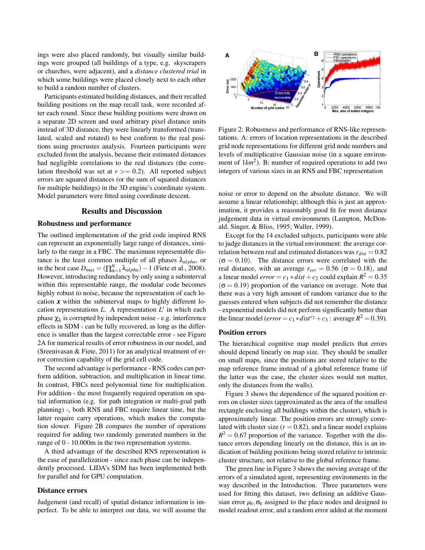ings were also placed randomly, but visually similar buildings were grouped (all buildings of a type, e.g. skyscrapers or churches, were adjacent), and a *distance clustered trial* in which some buildings were placed closely next to each other to build a random number of clusters.

Participants estimated building distances, and their recalled building positions on the map recall task, were recorded after each round. Since these building positions were drawn on a separate 2D screen and used arbitrary pixel distance units instead of 3D distance, they were linearly transformed (translated, scaled and rotated) to best conform to the real positions using procrustes analysis. Fourteen participants were excluded from the analysis, because their estimated distances had negligible correlations to the real distances (the correlation threshold was set at  $r$   $> = 0.2$ ). All reported subject errors are squared distances (or the sum of squared distances for multiple buildings) in the 3D engine's coordinate system. Model parameters were fitted using coordinate descent.

# Results and Discussion

#### Robustness and performance

The outlined implementation of the grid code inspired RNS can represent an exponentially large range of distances, similarly to the range in a FBC. The maximum representable distance is the least common multiple of all phases  $\lambda_{alpha}$ , or in the best case  $D_{max} = (\prod_{\alpha=1}^{N} \lambda_{alpha}) - 1$  (Fiete et al., 2008). However, introducing redundancy by only using a subinterval within this representable range, the modular code becomes highly robust to noise, because the representation of each location  $x$  within the subinterval maps to highly different location representations  $L$ . A representation  $L'$  in which each phase  $χ<sub>λ</sub>$  is corrupted by independent noise - e.g. interference effects in SDM - can be fully recovered, as long as the difference is smaller than the largest correctable error - see Figure 2A for numerical results of error robustness in our model, and (Sreenivasan & Fiete, 2011) for an analytical treatment of error correction capability of the grid cell code.

The second advantage is performance - RNS codes can perform addition, subtraction, and multiplication in linear time. In contrast, FBCs need polynomial time for multiplication. For addition - the most frequently required operation on spatial information (e.g. for path integration or multi-goal path planning) -, both RNS and FBC require linear time, but the latter require carry operations, which makes the computation slower. Figure 2B compares the number of operations required for adding two randomly generated numbers in the range of 0 - 10.000m in the two representation systems.

A third advantage of the described RNS representation is the ease of parallelization - since each phase can be independently processed. LIDA's SDM has been implemented both for parallel and for GPU computation.

#### Distance errors

Judgement (and recall) of spatial distance information is imperfect. To be able to interpret our data, we will assume the



Figure 2: Robustness and performance of RNS-like representations. A: errors of location representations in the described grid node representations for different grid node numbers and levels of multiplicative Gaussian noise (in a square environment of  $1km^2$ ). B: number of required operations to add two integers of various sizes in an RNS and FBC representation

noise or error to depend on the absolute distance. We will assume a linear relationship; although this is just an approximation, it provides a reasonably good fit for most distance judgement data in virtual environments (Lampton, McDonald, Singer, & Bliss, 1995; Waller, 1999).

Except for the 14 excluded subjects, participants were able to judge distances in the virtual environment: the average correlation between real and estimated distances was  $r_{dist} = 0.82$  $(\sigma = 0.10)$ . The distance errors were correlated with the real distance, with an average  $r_{err} = 0.56$  ( $\sigma = 0.18$ ), and a linear model  $error = c_1 * dist + c_2$  could explain  $R^2 = 0.35$  $(\sigma = 0.19)$  proportion of the variance on average. Note that there was a very high amount of random variance due to the guesses entered when subjects did not remember the distance - exponential models did not perform significantly better than the linear model ( $error = c_1 * dist^{c_2} + c_3$ : average  $R^2 = 0.39$ ).

# Position errors

The hierarchical cognitive map model predicts that errors should depend linearly on map size. They should be smaller on small maps, since the positions are stored relative to the map reference frame instead of a global reference frame (if the latter was the case, the cluster sizes would not matter, only the distances from the walls).

Figure 3 shows the dependence of the squared position errors on cluster sizes (approximated as the area of the smallest rectangle enclosing all buildings within the cluster), which is approximately linear. The position errors are strongly correlated with cluster size  $(r = 0.82)$ , and a linear model explains  $R<sup>2</sup> = 0.67$  proportion of the variance. Together with the distance errors depending linearly on the distance, this is an indication of building positions being stored relative to intrinsic cluster structure, not relative to the global reference frame.

The green line in Figure 3 shows the moving average of the errors of a simulated agent, representing environments in the way described in the Introduction. Three parameters were used for fitting this dataset, two defining an additive Gaussian error  $\mu_{\varepsilon}, \sigma_{\varepsilon}$  assigned to the place nodes and designed to model readout error, and a random error added at the moment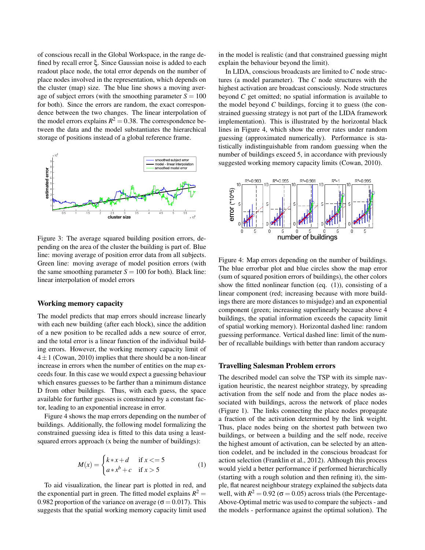of conscious recall in the Global Workspace, in the range defined by recall error ξ. Since Gaussian noise is added to each readout place node, the total error depends on the number of place nodes involved in the representation, which depends on the cluster (map) size. The blue line shows a moving average of subject errors (with the smoothing parameter  $S = 100$ for both). Since the errors are random, the exact correspondence between the two changes. The linear interpolation of the model errors explains  $R^2 = 0.38$ . The correspondence between the data and the model substantiates the hierarchical storage of positions instead of a global reference frame.



Figure 3: The average squared building position errors, depending on the area of the cluster the building is part of. Blue line: moving average of position error data from all subjects. Green line: moving average of model position errors (with the same smoothing parameter  $S = 100$  for both). Black line: linear interpolation of model errors

#### Working memory capacity

The model predicts that map errors should increase linearly with each new building (after each block), since the addition of a new position to be recalled adds a new source of error, and the total error is a linear function of the individual building errors. However, the working memory capacity limit of  $4 \pm 1$  (Cowan, 2010) implies that there should be a non-linear increase in errors when the number of entities on the map exceeds four. In this case we would expect a guessing behaviour which ensures guesses to be farther than a minimum distance D from other buildings. Thus, with each guess, the space available for further guesses is constrained by a constant factor, leading to an exponential increase in error.

Figure 4 shows the map errors depending on the number of buildings. Additionally, the following model formalizing the constrained guessing idea is fitted to this data using a leastsquared errors approach (x being the number of buildings):

$$
M(x) = \begin{cases} k*x+d & \text{if } x <=5\\ a*x^b+c & \text{if } x >5 \end{cases} \tag{1}
$$

To aid visualization, the linear part is plotted in red, and the exponential part in green. The fitted model explains  $R^2 =$ 0.982 proportion of the variance on average ( $\sigma$  = 0.017). This suggests that the spatial working memory capacity limit used in the model is realistic (and that constrained guessing might explain the behaviour beyond the limit).

In LIDA, conscious broadcasts are limited to *C* node structures (a model parameter). The *C* node structures with the highest activation are broadcast consciously. Node structures beyond *C* get omitted; no spatial information is available to the model beyond *C* buildings, forcing it to guess (the constrained guessing strategy is not part of the LIDA framework implementation). This is illustrated by the horizontal black lines in Figure 4, which show the error rates under random guessing (approximated numerically). Performance is statistically indistinguishable from random guessing when the number of buildings exceed 5, in accordance with previously suggested working memory capacity limits (Cowan, 2010).



Figure 4: Map errors depending on the number of buildings. The blue errorbar plot and blue circles show the map error (sum of squared position errors of buildings), the other colors show the fitted nonlinear function (eq. (1)), consisting of a linear component (red; increasing because with more buildings there are more distances to misjudge) and an exponential component (green; increasing superlinearly because above 4 buildings, the spatial information exceeds the capacity limit of spatial working memory). Horizontal dashed line: random guessing performance. Vertical dashed line: limit of the number of recallable buildings with better than random accuracy

### Travelling Salesman Problem errors

The described model can solve the TSP with its simple navigation heuristic, the nearest neighbor strategy, by spreading activation from the self node and from the place nodes associated with buildings, across the network of place nodes (Figure 1). The links connecting the place nodes propagate a fraction of the activation determined by the link weight. Thus, place nodes being on the shortest path between two buildings, or between a building and the self node, receive the highest amount of activation, can be selected by an attention codelet, and be included in the conscious broadcast for action selection (Franklin et al., 2012). Although this process would yield a better performance if performed hierarchically (starting with a rough solution and then refining it), the simple, flat nearest neighbour strategy explained the subjects data well, with  $R^2 = 0.92$  ( $\sigma = 0.05$ ) across trials (the Percentage-Above-Optimal metric was used to compare the subjects - and the models - performance against the optimal solution). The